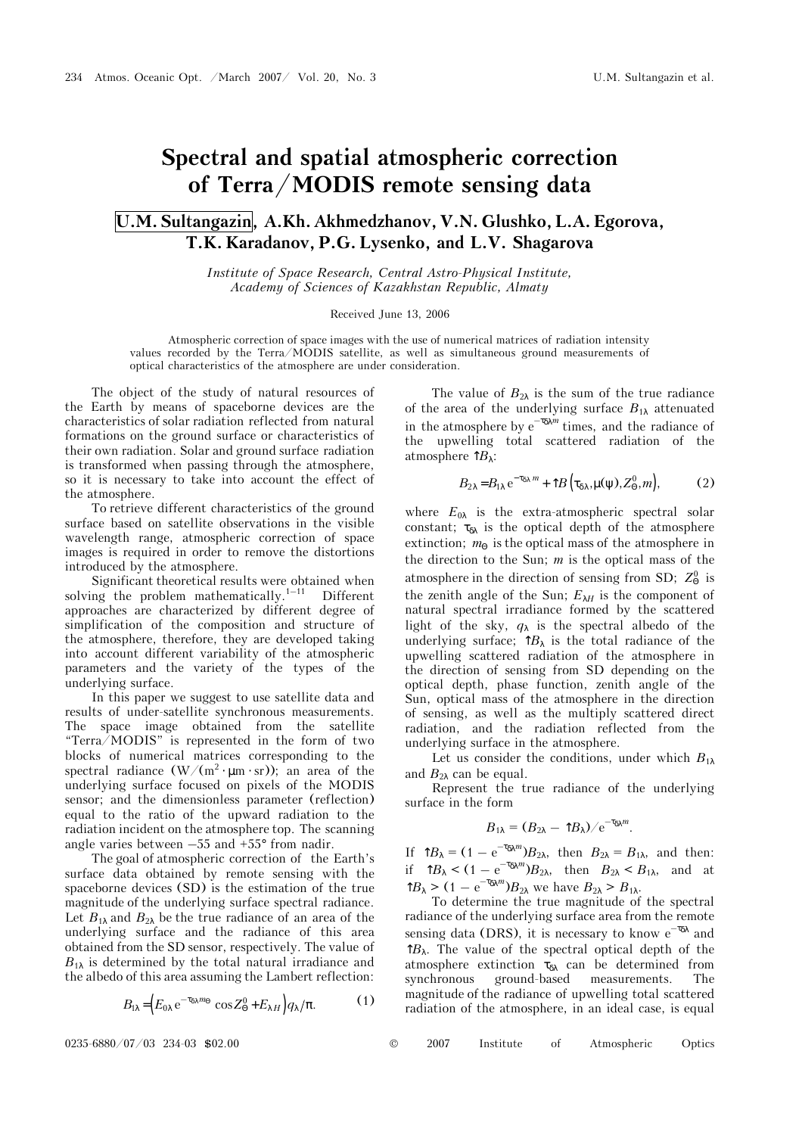## **Spectral and spatial atmospheric correction of Terra/MODIS remote sensing data**

## **U.M. Sultangazin, A.Kh. Akhmedzhanov, V.N. Glushko, L.A. Egorova, T.K. Karadanov, P.G. Lysenko, and L.V. Shagarova**

*Institute of Space Research, Central Astro-Physical Institute, Academy of Sciences of Kazakhstan Republic, Almaty* 

## Received June 13, 2006

Atmospheric correction of space images with the use of numerical matrices of radiation intensity values recorded by the Terra/MODIS satellite, as well as simultaneous ground measurements of optical characteristics of the atmosphere are under consideration.

The object of the study of natural resources of the Earth by means of spaceborne devices are the characteristics of solar radiation reflected from natural formations on the ground surface or characteristics of their own radiation. Solar and ground surface radiation is transformed when passing through the atmosphere, so it is necessary to take into account the effect of the atmosphere.

To retrieve different characteristics of the ground surface based on satellite observations in the visible wavelength range, atmospheric correction of space images is required in order to remove the distortions introduced by the atmosphere.

Significant theoretical results were obtained when solving the problem mathematically.<sup>1-11</sup> Different approaches are characterized by different degree of simplification of the composition and structure of the atmosphere, therefore, they are developed taking into account different variability of the atmospheric parameters and the variety of the types of the underlying surface.

In this paper we suggest to use satellite data and results of under-satellite synchronous measurements. The space image obtained from the satellite "Terra/MODIS" is represented in the form of two blocks of numerical matrices corresponding to the spectral radiance (W/(m<sup>2</sup> ⋅ µm ⋅ sr)); an area of the underlying surface focused on pixels of the MODIS sensor; and the dimensionless parameter (reflection) equal to the ratio of the upward radiation to the radiation incident on the atmosphere top. The scanning angle varies between  $-55$  and  $+55^{\circ}$  from nadir.

The goal of atmospheric correction of the Earth's surface data obtained by remote sensing with the spaceborne devices (SD) is the estimation of the true magnitude of the underlying surface spectral radiance. Let  $B_{1\lambda}$  and  $B_{2\lambda}$  be the true radiance of an area of the underlying surface and the radiance of this area obtained from the SD sensor, respectively. The value of  $B_{1\lambda}$  is determined by the total natural irradiance and the albedo of this area assuming the Lambert reflection:

$$
B_{1\lambda} = \left( E_{0\lambda} e^{-\tau_{\delta\lambda} m_{\Theta}} \cos Z_{\Theta}^0 + E_{\lambda H} \right) q_{\lambda} / \pi.
$$
 (1)

The value of  $B_{2\lambda}$  is the sum of the true radiance of the area of the underlying surface  $B_{1\lambda}$  attenuated in the atmosphere by  $e^{-\tau_{\delta\lambda}m}$  times, and the radiance of the upwelling total scattered radiation of the atmosphere  $\hat{P}_\lambda$ :

$$
B_{2\lambda} = B_{1\lambda} e^{-\tau_{\delta\lambda} m} + \hat{\Gamma} B(\tau_{\delta\lambda}, \mu(\psi), Z^0_{\Theta}, m), \tag{2}
$$

where  $E_{0\lambda}$  is the extra-atmospheric spectral solar constant;  $\tau_{\delta\lambda}$  is the optical depth of the atmosphere extinction;  $m_{\Theta}$  is the optical mass of the atmosphere in the direction to the Sun; *m* is the optical mass of the atmosphere in the direction of sensing from SD;  $Z_{\Theta}^0$  is the zenith angle of the Sun;  $E_{\lambda H}$  is the component of natural spectral irradiance formed by the scattered light of the sky,  $q_{\lambda}$  is the spectral albedo of the underlying surface;  $\hat{B}_{\lambda}$  is the total radiance of the upwelling scattered radiation of the atmosphere in the direction of sensing from SD depending on the optical depth, phase function, zenith angle of the Sun, optical mass of the atmosphere in the direction of sensing, as well as the multiply scattered direct radiation, and the radiation reflected from the underlying surface in the atmosphere.

Let us consider the conditions, under which  $B_{1\lambda}$ and  $B_{2\lambda}$  can be equal.

Represent the true radiance of the underlying surface in the form

$$
B_{1\lambda} = (B_{2\lambda} - \hat{\Gamma} B_{\lambda})/e^{-\tau_{\delta\lambda} m}.
$$

If  $\hat{B}_{\lambda} = (1 - e^{-\tau \delta \lambda^m}) B_{2\lambda}$ , then  $B_{2\lambda} = B_{1\lambda}$ , and then: if  $\hat{B}_{\lambda} < (1 - e^{-\tau \delta \lambda^m}) B_{2\lambda}$ , then  $B_{2\lambda} < B_{1\lambda}$ , and at  $\hat{B}_{\lambda} > (1 - e^{-\tau_{\delta\lambda} m})B_{2\lambda}$  we have  $B_{2\lambda} > B_{1\lambda}$ .

To determine the true magnitude of the spectral radiance of the underlying surface area from the remote sensing data (DRS), it is necessary to know  $e^{-\tau_{\delta\lambda}}$  and  $\uparrow B_\lambda$ . The value of the spectral optical depth of the atmosphere extinction  $\tau_{\delta\lambda}$  can be determined from synchronous ground-based measurements. The magnitude of the radiance of upwelling total scattered radiation of the atmosphere, in an ideal case, is equal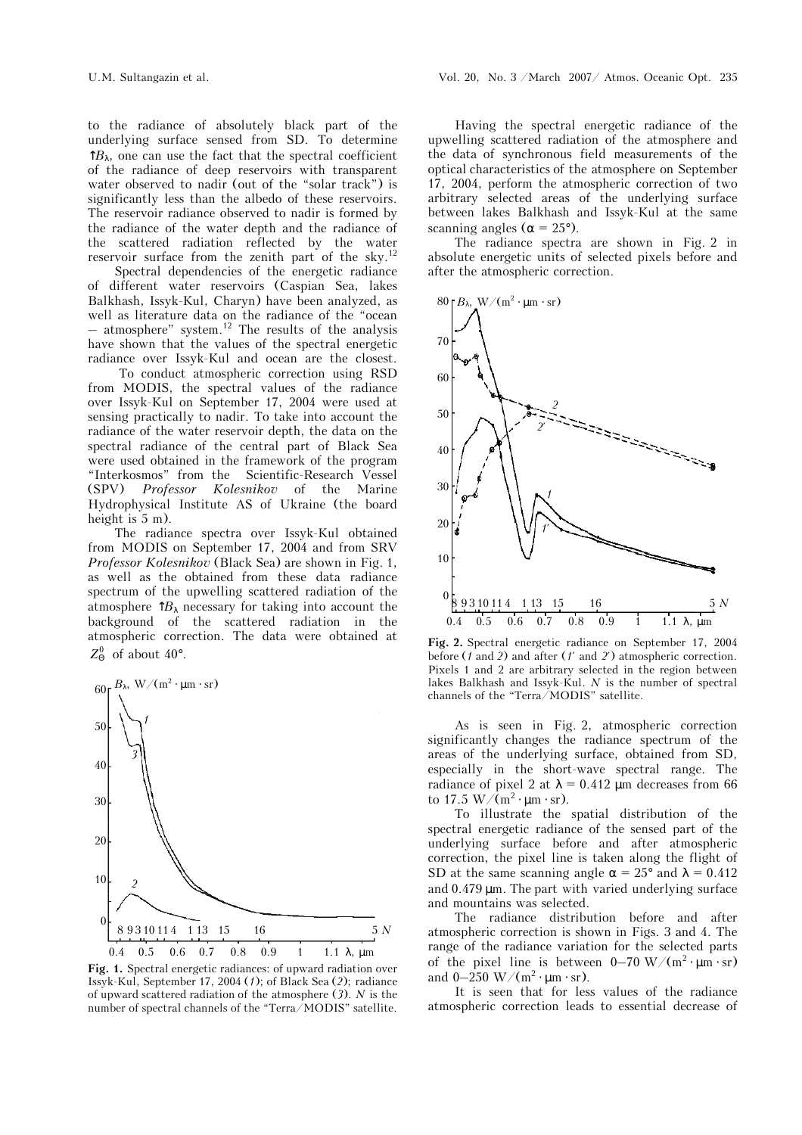to the radiance of absolutely black part of the underlying surface sensed from SD. To determine  $\hat{B}_{\lambda}$ , one can use the fact that the spectral coefficient of the radiance of deep reservoirs with transparent water observed to nadir (out of the "solar track") is significantly less than the albedo of these reservoirs. The reservoir radiance observed to nadir is formed by the radiance of the water depth and the radiance of the scattered radiation reflected by the water reservoir surface from the zenith part of the sky.12

 Spectral dependencies of the energetic radiance of different water reservoirs (Caspian Sea, lakes Balkhash, Issyk-Kul, Charyn) have been analyzed, as well as literature data on the radiance of the "ocean  $-$  atmosphere" system.<sup>12</sup> The results of the analysis have shown that the values of the spectral energetic radiance over Issyk-Kul and ocean are the closest.

 To conduct atmospheric correction using RSD from MODIS, the spectral values of the radiance over Issyk-Kul on September 17, 2004 were used at sensing practically to nadir. To take into account the radiance of the water reservoir depth, the data on the spectral radiance of the central part of Black Sea were used obtained in the framework of the program "Interkosmos" from the Scientific-Research Vessel (SPV) *Professor Kolesnikov* of the Marine Hydrophysical Institute AS of Ukraine (the board height is  $5$  m).

The radiance spectra over Issyk-Kul obtained from MODIS on September 17, 2004 and from SRV *Professor Kolesnikov* (Black Sea) are shown in Fig. 1, as well as the obtained from these data radiance spectrum of the upwelling scattered radiation of the atmosphere  $\hat{P}_\lambda$  necessary for taking into account the background of the scattered radiation in the atmospheric correction. The data were obtained at  $Z^0_{\Theta}$  of about 40°.



**Fig. 1.** Spectral energetic radiances: of upward radiation over Issyk-Kul, September 17, 2004 (*1*); of Black Sea (*2*); radiance of upward scattered radiation of the atmosphere (*3*). *N* is the number of spectral channels of the "Terra/MODIS" satellite.

Having the spectral energetic radiance of the upwelling scattered radiation of the atmosphere and the data of synchronous field measurements of the optical characteristics of the atmosphere on September 17, 2004, perform the atmospheric correction of two arbitrary selected areas of the underlying surface between lakes Balkhash and Issyk-Kul at the same scanning angles ( $\alpha = 25^{\circ}$ ).

The radiance spectra are shown in Fig. 2 in absolute energetic units of selected pixels before and after the atmospheric correction.



**Fig. 2.** Spectral energetic radiance on September 17, 2004 before (*1* and *2*) and after (*1*′ and *2*′) atmospheric correction. Pixels 1 and 2 are arbitrary selected in the region between lakes Balkhash and Issyk-Kul. *N* is the number of spectral channels of the "Terra/MODIS" satellite.

As is seen in Fig. 2, atmospheric correction significantly changes the radiance spectrum of the areas of the underlying surface, obtained from SD, especially in the short-wave spectral range. The radiance of pixel 2 at  $\lambda = 0.412$  µm decreases from 66 to 17.5 W/ $(m^2 \cdot \mu m \cdot sr)$ .

To illustrate the spatial distribution of the spectral energetic radiance of the sensed part of the underlying surface before and after atmospheric correction, the pixel line is taken along the flight of SD at the same scanning angle  $\alpha = 25^{\circ}$  and  $\lambda = 0.412$ and  $0.479 \mu m$ . The part with varied underlying surface and mountains was selected.

The radiance distribution before and after atmospheric correction is shown in Figs. 3 and 4. The range of the radiance variation for the selected parts of the pixel line is between  $0-70 \text{ W/(m}^2 \cdot \mu \text{m} \cdot \text{sr})$ and  $0-250$  W/(m<sup>2</sup> ⋅ µm ⋅ sr).

It is seen that for less values of the radiance atmospheric correction leads to essential decrease of